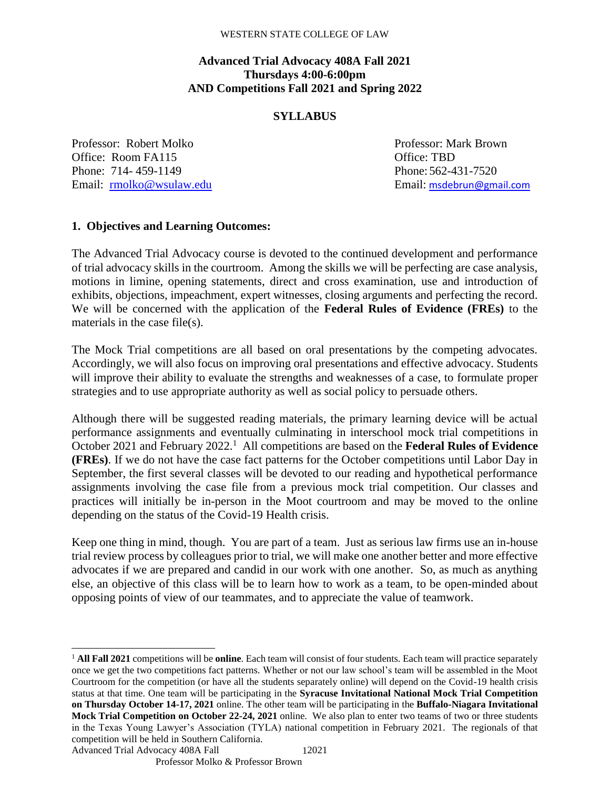### **Advanced Trial Advocacy 408A Fall 2021 Thursdays 4:00-6:00pm AND Competitions Fall 2021 and Spring 2022**

### **SYLLABUS**

Professor: Robert Molko Professor: Mark Brown Office: Room FA115 **Office: TBD** Office: TBD Phone: 714-459-1149 Phone: 562-431-7520 Email: [rmolko@wsulaw.edu](mailto:rmolko@wsulaw.edu) Email: [msdebrun@gmail.com](mailto:msdebrun@gmail.com)

### **1. Objectives and Learning Outcomes:**

The Advanced Trial Advocacy course is devoted to the continued development and performance of trial advocacy skills in the courtroom. Among the skills we will be perfecting are case analysis, motions in limine, opening statements, direct and cross examination, use and introduction of exhibits, objections, impeachment, expert witnesses, closing arguments and perfecting the record. We will be concerned with the application of the **Federal Rules of Evidence (FREs)** to the materials in the case file(s).

The Mock Trial competitions are all based on oral presentations by the competing advocates. Accordingly, we will also focus on improving oral presentations and effective advocacy. Students will improve their ability to evaluate the strengths and weaknesses of a case, to formulate proper strategies and to use appropriate authority as well as social policy to persuade others.

Although there will be suggested reading materials, the primary learning device will be actual performance assignments and eventually culminating in interschool mock trial competitions in October 2021 and February 2022.<sup>1</sup> All competitions are based on the Federal Rules of Evidence **(FREs)**. If we do not have the case fact patterns for the October competitions until Labor Day in September, the first several classes will be devoted to our reading and hypothetical performance assignments involving the case file from a previous mock trial competition. Our classes and practices will initially be in-person in the Moot courtroom and may be moved to the online depending on the status of the Covid-19 Health crisis.

Keep one thing in mind, though. You are part of a team. Just as serious law firms use an in-house trial review process by colleagues prior to trial, we will make one another better and more effective advocates if we are prepared and candid in our work with one another. So, as much as anything else, an objective of this class will be to learn how to work as a team, to be open-minded about opposing points of view of our teammates, and to appreciate the value of teamwork.

Advanced Trial Advocacy 408A Fall

l

<sup>12021</sup> <sup>1</sup> **All Fall 2021** competitions will be **online**. Each team will consist of four students. Each team will practice separately once we get the two competitions fact patterns. Whether or not our law school's team will be assembled in the Moot Courtroom for the competition (or have all the students separately online) will depend on the Covid-19 health crisis status at that time. One team will be participating in the **Syracuse Invitational National Mock Trial Competition on Thursday October 14-17, 2021** online. The other team will be participating in the **Buffalo-Niagara Invitational Mock Trial Competition on October 22-24, 2021** online. We also plan to enter two teams of two or three students in the Texas Young Lawyer's Association (TYLA) national competition in February 2021. The regionals of that competition will be held in Southern California.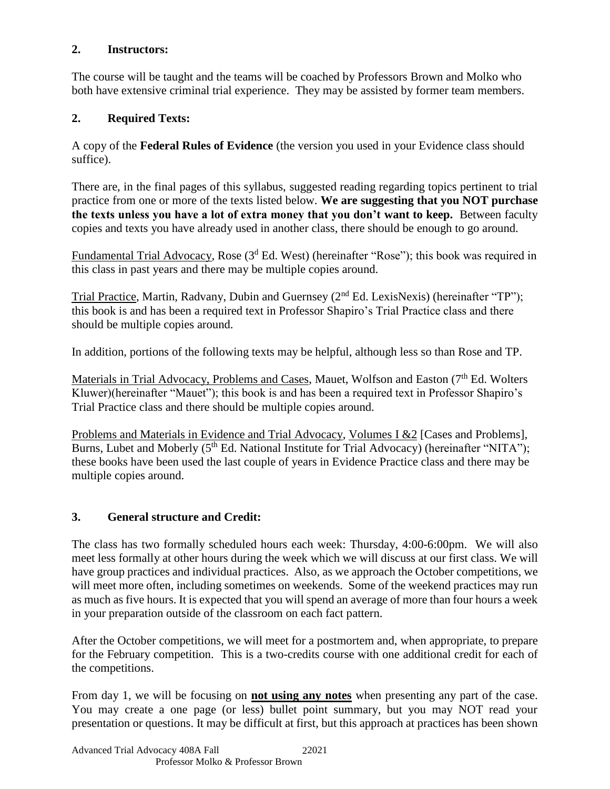## **2. Instructors:**

The course will be taught and the teams will be coached by Professors Brown and Molko who both have extensive criminal trial experience. They may be assisted by former team members.

# **2. Required Texts:**

A copy of the **Federal Rules of Evidence** (the version you used in your Evidence class should suffice).

There are, in the final pages of this syllabus, suggested reading regarding topics pertinent to trial practice from one or more of the texts listed below. **We are suggesting that you NOT purchase the texts unless you have a lot of extra money that you don't want to keep.** Between faculty copies and texts you have already used in another class, there should be enough to go around.

Fundamental Trial Advocacy, Rose (3<sup>d</sup> Ed. West) (hereinafter "Rose"); this book was required in this class in past years and there may be multiple copies around.

Trial Practice, Martin, Radvany, Dubin and Guernsey (2<sup>nd</sup> Ed. LexisNexis) (hereinafter "TP"); this book is and has been a required text in Professor Shapiro's Trial Practice class and there should be multiple copies around.

In addition, portions of the following texts may be helpful, although less so than Rose and TP.

Materials in Trial Advocacy, Problems and Cases, Mauet, Wolfson and Easton (7<sup>th</sup> Ed. Wolters Kluwer)(hereinafter "Mauet"); this book is and has been a required text in Professor Shapiro's Trial Practice class and there should be multiple copies around.

Problems and Materials in Evidence and Trial Advocacy, Volumes I &2 [Cases and Problems], Burns, Lubet and Moberly  $(5<sup>th</sup> Ed. National Institute for Trial Advocacy)$  (hereinafter "NITA"); these books have been used the last couple of years in Evidence Practice class and there may be multiple copies around.

# **3. General structure and Credit:**

The class has two formally scheduled hours each week: Thursday, 4:00-6:00pm. We will also meet less formally at other hours during the week which we will discuss at our first class. We will have group practices and individual practices. Also, as we approach the October competitions, we will meet more often, including sometimes on weekends. Some of the weekend practices may run as much as five hours. It is expected that you will spend an average of more than four hours a week in your preparation outside of the classroom on each fact pattern.

After the October competitions, we will meet for a postmortem and, when appropriate, to prepare for the February competition. This is a two-credits course with one additional credit for each of the competitions.

From day 1, we will be focusing on **not using any notes** when presenting any part of the case. You may create a one page (or less) bullet point summary, but you may NOT read your presentation or questions. It may be difficult at first, but this approach at practices has been shown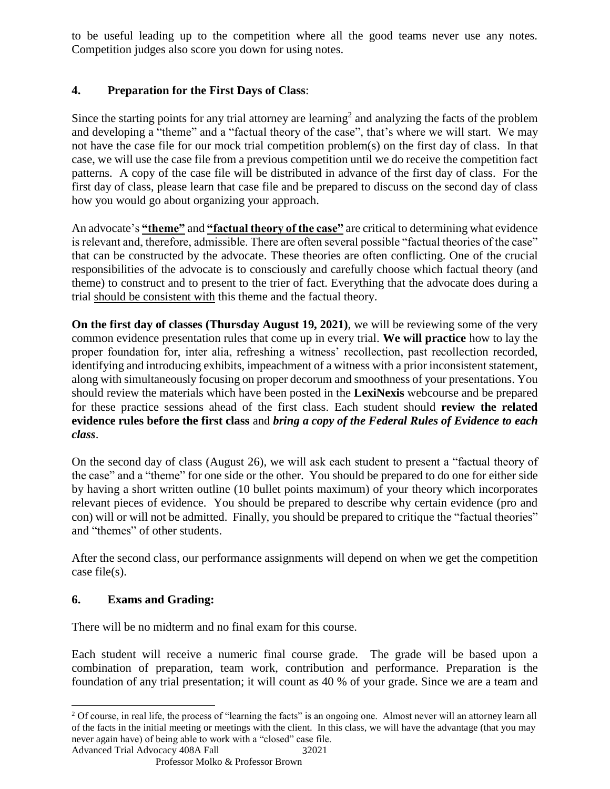to be useful leading up to the competition where all the good teams never use any notes. Competition judges also score you down for using notes.

# **4. Preparation for the First Days of Class**:

Since the starting points for any trial attorney are learning<sup>2</sup> and analyzing the facts of the problem and developing a "theme" and a "factual theory of the case", that's where we will start. We may not have the case file for our mock trial competition problem(s) on the first day of class. In that case, we will use the case file from a previous competition until we do receive the competition fact patterns. A copy of the case file will be distributed in advance of the first day of class. For the first day of class, please learn that case file and be prepared to discuss on the second day of class how you would go about organizing your approach.

An advocate's **"theme"** and **"factual theory of the case"** are critical to determining what evidence is relevant and, therefore, admissible. There are often several possible "factual theories of the case" that can be constructed by the advocate. These theories are often conflicting. One of the crucial responsibilities of the advocate is to consciously and carefully choose which factual theory (and theme) to construct and to present to the trier of fact. Everything that the advocate does during a trial should be consistent with this theme and the factual theory.

**On the first day of classes (Thursday August 19, 2021)**, we will be reviewing some of the very common evidence presentation rules that come up in every trial. **We will practice** how to lay the proper foundation for, inter alia, refreshing a witness' recollection, past recollection recorded, identifying and introducing exhibits, impeachment of a witness with a prior inconsistent statement, along with simultaneously focusing on proper decorum and smoothness of your presentations. You should review the materials which have been posted in the **LexiNexis** webcourse and be prepared for these practice sessions ahead of the first class. Each student should **review the related evidence rules before the first class** and *bring a copy of the Federal Rules of Evidence to each class*.

On the second day of class (August 26), we will ask each student to present a "factual theory of the case" and a "theme" for one side or the other. You should be prepared to do one for either side by having a short written outline (10 bullet points maximum) of your theory which incorporates relevant pieces of evidence. You should be prepared to describe why certain evidence (pro and con) will or will not be admitted. Finally, you should be prepared to critique the "factual theories" and "themes" of other students.

After the second class, our performance assignments will depend on when we get the competition case file(s).

### **6. Exams and Grading:**

 $\overline{\phantom{a}}$ 

There will be no midterm and no final exam for this course.

Each student will receive a numeric final course grade. The grade will be based upon a combination of preparation, team work, contribution and performance. Preparation is the foundation of any trial presentation; it will count as 40 % of your grade. Since we are a team and

32021

Advanced Trial Advocacy 408A Fall <sup>2</sup> Of course, in real life, the process of "learning the facts" is an ongoing one. Almost never will an attorney learn all of the facts in the initial meeting or meetings with the client. In this class, we will have the advantage (that you may never again have) of being able to work with a "closed" case file.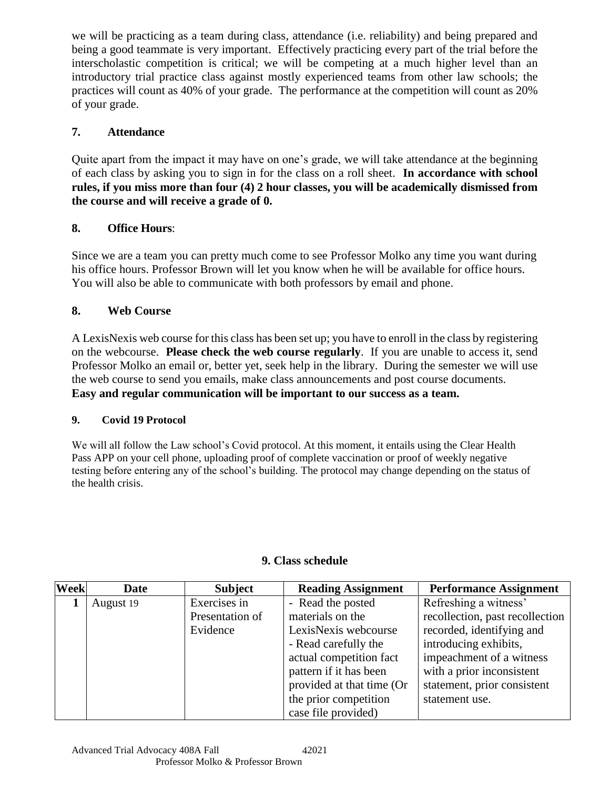we will be practicing as a team during class, attendance (i.e. reliability) and being prepared and being a good teammate is very important. Effectively practicing every part of the trial before the interscholastic competition is critical; we will be competing at a much higher level than an introductory trial practice class against mostly experienced teams from other law schools; the practices will count as 40% of your grade. The performance at the competition will count as 20% of your grade.

## **7. Attendance**

Quite apart from the impact it may have on one's grade, we will take attendance at the beginning of each class by asking you to sign in for the class on a roll sheet. **In accordance with school rules, if you miss more than four (4) 2 hour classes, you will be academically dismissed from the course and will receive a grade of 0.** 

## **8. Office Hours**:

Since we are a team you can pretty much come to see Professor Molko any time you want during his office hours. Professor Brown will let you know when he will be available for office hours. You will also be able to communicate with both professors by email and phone.

## **8. Web Course**

A LexisNexis web course for this class has been set up; you have to enroll in the class by registering on the webcourse. **Please check the web course regularly**. If you are unable to access it, send Professor Molko an email or, better yet, seek help in the library. During the semester we will use the web course to send you emails, make class announcements and post course documents. **Easy and regular communication will be important to our success as a team.** 

### **9. Covid 19 Protocol**

We will all follow the Law school's Covid protocol. At this moment, it entails using the Clear Health Pass APP on your cell phone, uploading proof of complete vaccination or proof of weekly negative testing before entering any of the school's building. The protocol may change depending on the status of the health crisis.

| <b>Week</b> | Date      | <b>Subject</b>  | <b>Reading Assignment</b> | <b>Performance Assignment</b>   |
|-------------|-----------|-----------------|---------------------------|---------------------------------|
|             | August 19 | Exercises in    | - Read the posted         | Refreshing a witness'           |
|             |           | Presentation of | materials on the          | recollection, past recollection |
|             |           | Evidence        | LexisNexis webcourse      | recorded, identifying and       |
|             |           |                 | - Read carefully the      | introducing exhibits,           |
|             |           |                 | actual competition fact   | impeachment of a witness        |
|             |           |                 | pattern if it has been    | with a prior inconsistent       |
|             |           |                 | provided at that time (Or | statement, prior consistent     |
|             |           |                 | the prior competition     | statement use.                  |
|             |           |                 | case file provided)       |                                 |

### **9. Class schedule**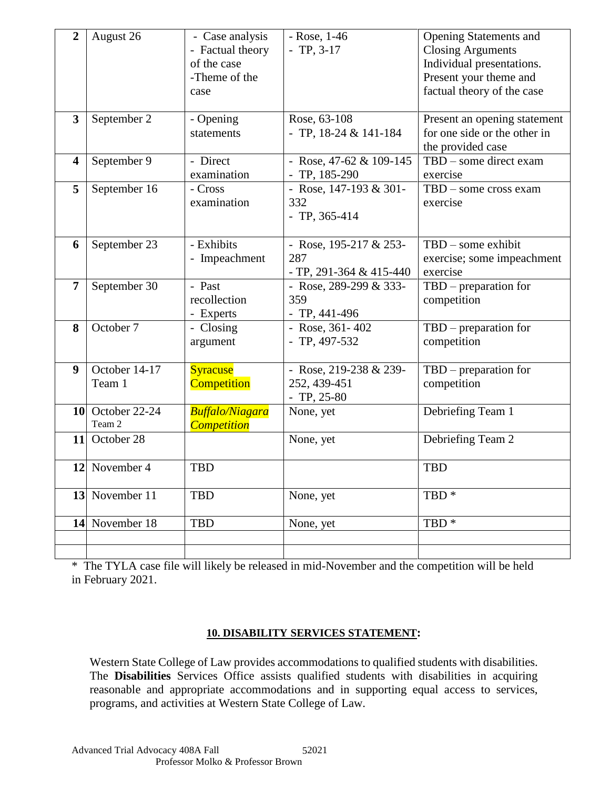| $\overline{2}$          | August 26                         | - Case analysis<br>- Factual theory<br>of the case<br>-Theme of the<br>case | $-Rose, 1-46$<br>$- TP, 3-17$                            | <b>Opening Statements and</b><br><b>Closing Arguments</b><br>Individual presentations.<br>Present your theme and<br>factual theory of the case |
|-------------------------|-----------------------------------|-----------------------------------------------------------------------------|----------------------------------------------------------|------------------------------------------------------------------------------------------------------------------------------------------------|
| 3                       | September 2                       | - Opening<br>statements                                                     | Rose, 63-108<br>- TP, $18-24 & 141-184$                  | Present an opening statement<br>for one side or the other in<br>the provided case                                                              |
| $\overline{\mathbf{4}}$ | September 9                       | - Direct<br>examination                                                     | - Rose, $47-62 \& 109-145$<br>$-$ TP, 185-290            | TBD - some direct exam<br>exercise                                                                                                             |
| 5                       | September 16                      | - Cross<br>examination                                                      | - Rose, 147-193 & 301-<br>332<br>$-$ TP, 365-414         | $TBD$ – some cross exam<br>exercise                                                                                                            |
| 6                       | September 23                      | - Exhibits<br>- Impeachment                                                 | - Rose, 195-217 & 253-<br>287<br>- TP, 291-364 & 415-440 | $TBD$ – some exhibit<br>exercise; some impeachment<br>exercise                                                                                 |
| $\overline{7}$          | September 30                      | - Past<br>recollection<br>- Experts                                         | - Rose, 289-299 & 333-<br>359<br>$-$ TP, 441-496         | $TBD$ – preparation for<br>competition                                                                                                         |
| 8                       | October 7                         | - Closing<br>argument                                                       | - Rose, $361 - 402$<br>$- TP, 497-532$                   | $TBD$ – preparation for<br>competition                                                                                                         |
| 9                       | October 14-17<br>Team 1           | <b>Syracuse</b><br><b>Competition</b>                                       | - Rose, 219-238 & 239-<br>252, 439-451<br>$- TP, 25-80$  | $TBD$ – preparation for<br>competition                                                                                                         |
|                         | <b>10</b> October 22-24<br>Team 2 | <b>Buffalo/Niagara</b><br><b>Competition</b>                                | None, yet                                                | Debriefing Team 1                                                                                                                              |
|                         | 11 October 28                     |                                                                             | None, yet                                                | Debriefing Team 2                                                                                                                              |
|                         | 12 November 4                     | <b>TBD</b>                                                                  |                                                          | <b>TBD</b>                                                                                                                                     |
|                         | 13 November 11                    | <b>TBD</b>                                                                  | None, yet                                                | TBD <sup>*</sup>                                                                                                                               |
|                         | 14 November 18                    | <b>TBD</b>                                                                  | None, yet                                                | TBD <sup>*</sup>                                                                                                                               |
|                         |                                   |                                                                             |                                                          |                                                                                                                                                |
|                         |                                   |                                                                             |                                                          |                                                                                                                                                |

\* The TYLA case file will likely be released in mid-November and the competition will be held in February 2021.

### **10. DISABILITY SERVICES STATEMENT:**

Western State College of Law provides accommodations to qualified students with disabilities. The **Disabilities** Services Office assists qualified students with disabilities in acquiring reasonable and appropriate accommodations and in supporting equal access to services, programs, and activities at Western State College of Law.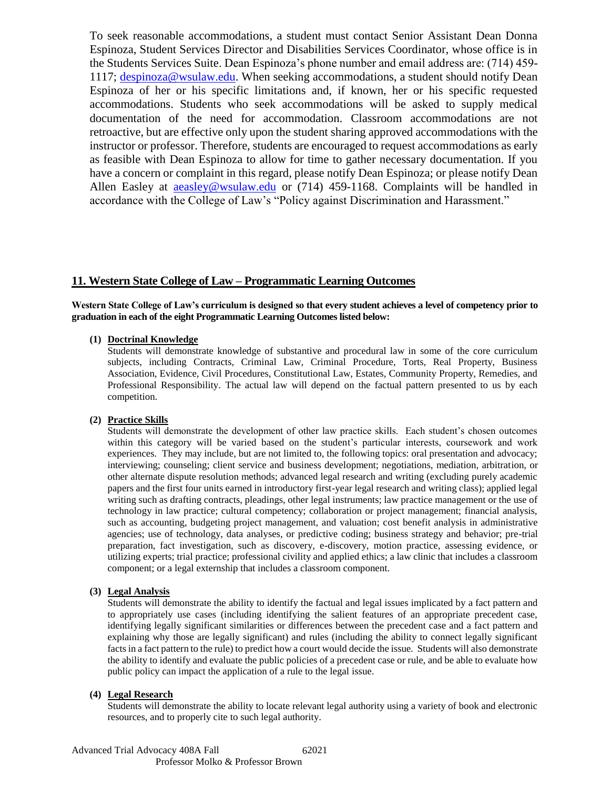To seek reasonable accommodations, a student must contact Senior Assistant Dean Donna Espinoza, Student Services Director and Disabilities Services Coordinator, whose office is in the Students Services Suite. Dean Espinoza's phone number and email address are: (714) 459- 1117; [despinoza@wsulaw.edu.](mailto:despinoza@wsulaw.edu) When seeking accommodations, a student should notify Dean Espinoza of her or his specific limitations and, if known, her or his specific requested accommodations. Students who seek accommodations will be asked to supply medical documentation of the need for accommodation. Classroom accommodations are not retroactive, but are effective only upon the student sharing approved accommodations with the instructor or professor. Therefore, students are encouraged to request accommodations as early as feasible with Dean Espinoza to allow for time to gather necessary documentation. If you have a concern or complaint in this regard, please notify Dean Espinoza; or please notify Dean Allen Easley at [aeasley@wsulaw.edu](mailto:aeasley@wsulaw.edu) or (714) 459-1168. Complaints will be handled in accordance with the College of Law's "Policy against Discrimination and Harassment."

### **11. Western State College of Law – Programmatic Learning Outcomes**

**Western State College of Law's curriculum is designed so that every student achieves a level of competency prior to graduation in each of the eight Programmatic Learning Outcomes listed below:**

#### **(1) Doctrinal Knowledge**

Students will demonstrate knowledge of substantive and procedural law in some of the core curriculum subjects, including Contracts, Criminal Law, Criminal Procedure, Torts, Real Property, Business Association, Evidence, Civil Procedures, Constitutional Law, Estates, Community Property, Remedies, and Professional Responsibility. The actual law will depend on the factual pattern presented to us by each competition.

#### **(2) Practice Skills**

Students will demonstrate the development of other law practice skills. Each student's chosen outcomes within this category will be varied based on the student's particular interests, coursework and work experiences. They may include, but are not limited to, the following topics: oral presentation and advocacy; interviewing; counseling; client service and business development; negotiations, mediation, arbitration, or other alternate dispute resolution methods; advanced legal research and writing (excluding purely academic papers and the first four units earned in introductory first-year legal research and writing class); applied legal writing such as drafting contracts, pleadings, other legal instruments; law practice management or the use of technology in law practice; cultural competency; collaboration or project management; financial analysis, such as accounting, budgeting project management, and valuation; cost benefit analysis in administrative agencies; use of technology, data analyses, or predictive coding; business strategy and behavior; pre-trial preparation, fact investigation, such as discovery, e-discovery, motion practice, assessing evidence, or utilizing experts; trial practice; professional civility and applied ethics; a law clinic that includes a classroom component; or a legal externship that includes a classroom component.

#### **(3) Legal Analysis**

Students will demonstrate the ability to identify the factual and legal issues implicated by a fact pattern and to appropriately use cases (including identifying the salient features of an appropriate precedent case, identifying legally significant similarities or differences between the precedent case and a fact pattern and explaining why those are legally significant) and rules (including the ability to connect legally significant facts in a fact pattern to the rule) to predict how a court would decide the issue. Students will also demonstrate the ability to identify and evaluate the public policies of a precedent case or rule, and be able to evaluate how public policy can impact the application of a rule to the legal issue.

#### **(4) Legal Research**

Students will demonstrate the ability to locate relevant legal authority using a variety of book and electronic resources, and to properly cite to such legal authority.